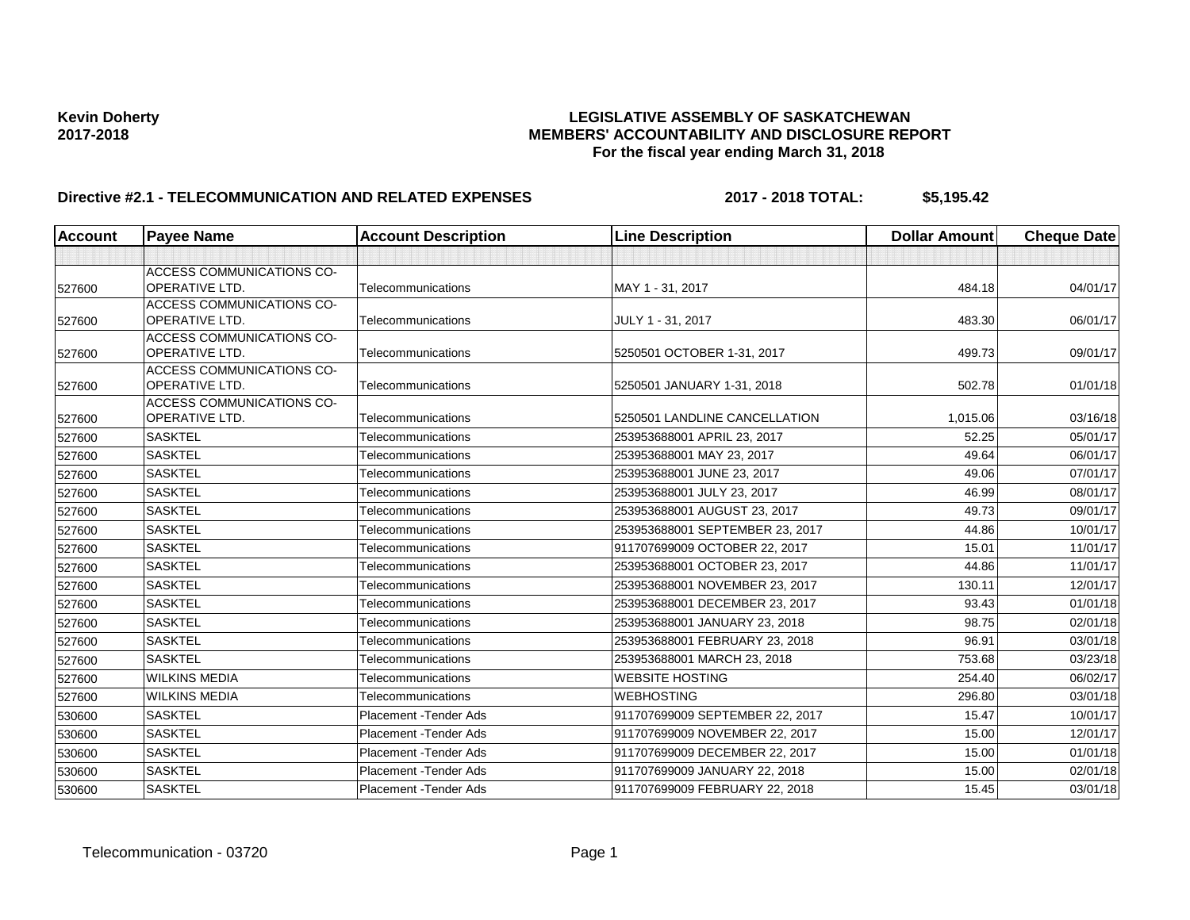## Kevin Doherty<br>LEGISLATIVE ASSEMBLY OF SASKATCHEWAN<br>MEMBERS' ACCOUNTABILITY AND DISCLOSURE REF **2017-2018 MEMBERS' ACCOUNTABILITY AND DISCLOSURE REPORT For the fiscal year ending March 31, 2018**

# **Directive #2.1 - TELECOMMUNICATION AND RELATED EXPENSES 2017 - 2018 TOTAL: \$5,195.42**

| <b>Account</b> | <b>Payee Name</b>                           | <b>Account Description</b> | <b>Line Description</b>         | <b>Dollar Amount</b> | <b>Cheque Date</b> |
|----------------|---------------------------------------------|----------------------------|---------------------------------|----------------------|--------------------|
|                |                                             |                            |                                 |                      |                    |
|                | ACCESS COMMUNICATIONS CO-                   |                            |                                 |                      |                    |
| 527600         | <b>OPERATIVE LTD.</b>                       | Telecommunications         | MAY 1 - 31, 2017                | 484.18               | 04/01/17           |
|                | ACCESS COMMUNICATIONS CO-                   |                            |                                 |                      |                    |
| 527600         | <b>OPERATIVE LTD.</b>                       | Telecommunications         | JULY 1 - 31, 2017               | 483.30               | 06/01/17           |
|                | ACCESS COMMUNICATIONS CO-<br>OPERATIVE LTD. |                            |                                 |                      |                    |
| 527600         | ACCESS COMMUNICATIONS CO-                   | Telecommunications         | 5250501 OCTOBER 1-31, 2017      | 499.73               | 09/01/17           |
| 527600         | <b>OPERATIVE LTD.</b>                       | Telecommunications         | 5250501 JANUARY 1-31, 2018      | 502.78               | 01/01/18           |
|                | <b>ACCESS COMMUNICATIONS CO-</b>            |                            |                                 |                      |                    |
| 527600         | <b>OPERATIVE LTD.</b>                       | Telecommunications         | 5250501 LANDLINE CANCELLATION   | 1,015.06             | 03/16/18           |
| 527600         | <b>SASKTEL</b>                              | Telecommunications         | 253953688001 APRIL 23, 2017     | 52.25                | 05/01/17           |
| 527600         | <b>SASKTEL</b>                              | Telecommunications         | 253953688001 MAY 23, 2017       | 49.64                | 06/01/17           |
| 527600         | <b>SASKTEL</b>                              | Telecommunications         | 253953688001 JUNE 23, 2017      | 49.06                | 07/01/17           |
| 527600         | <b>SASKTEL</b>                              | Telecommunications         | 253953688001 JULY 23, 2017      | 46.99                | 08/01/17           |
| 527600         | <b>SASKTEL</b>                              | Telecommunications         | 253953688001 AUGUST 23, 2017    | 49.73                | 09/01/17           |
| 527600         | <b>SASKTEL</b>                              | Telecommunications         | 253953688001 SEPTEMBER 23, 2017 | 44.86                | 10/01/17           |
| 527600         | <b>SASKTEL</b>                              | Telecommunications         | 911707699009 OCTOBER 22, 2017   | 15.01                | 11/01/17           |
| 527600         | <b>SASKTEL</b>                              | Telecommunications         | 253953688001 OCTOBER 23, 2017   | 44.86                | 11/01/17           |
| 527600         | <b>SASKTEL</b>                              | Telecommunications         | 253953688001 NOVEMBER 23, 2017  | 130.11               | 12/01/17           |
| 527600         | <b>SASKTEL</b>                              | Telecommunications         | 253953688001 DECEMBER 23, 2017  | 93.43                | 01/01/18           |
| 527600         | <b>SASKTEL</b>                              | Telecommunications         | 253953688001 JANUARY 23, 2018   | 98.75                | 02/01/18           |
| 527600         | <b>SASKTEL</b>                              | Telecommunications         | 253953688001 FEBRUARY 23, 2018  | 96.91                | 03/01/18           |
| 527600         | <b>SASKTEL</b>                              | Telecommunications         | 253953688001 MARCH 23, 2018     | 753.68               | 03/23/18           |
| 527600         | <b>WILKINS MEDIA</b>                        | Telecommunications         | <b>WEBSITE HOSTING</b>          | 254.40               | 06/02/17           |
| 527600         | <b>WILKINS MEDIA</b>                        | Telecommunications         | <b>WEBHOSTING</b>               | 296.80               | 03/01/18           |
| 530600         | <b>SASKTEL</b>                              | Placement - Tender Ads     | 911707699009 SEPTEMBER 22, 2017 | 15.47                | 10/01/17           |
| 530600         | <b>SASKTEL</b>                              | Placement - Tender Ads     | 911707699009 NOVEMBER 22, 2017  | 15.00                | 12/01/17           |
| 530600         | <b>SASKTEL</b>                              | Placement - Tender Ads     | 911707699009 DECEMBER 22, 2017  | 15.00                | 01/01/18           |
| 530600         | <b>SASKTEL</b>                              | Placement - Tender Ads     | 911707699009 JANUARY 22, 2018   | 15.00                | 02/01/18           |
| 530600         | <b>SASKTEL</b>                              | Placement - Tender Ads     | 911707699009 FEBRUARY 22, 2018  | 15.45                | 03/01/18           |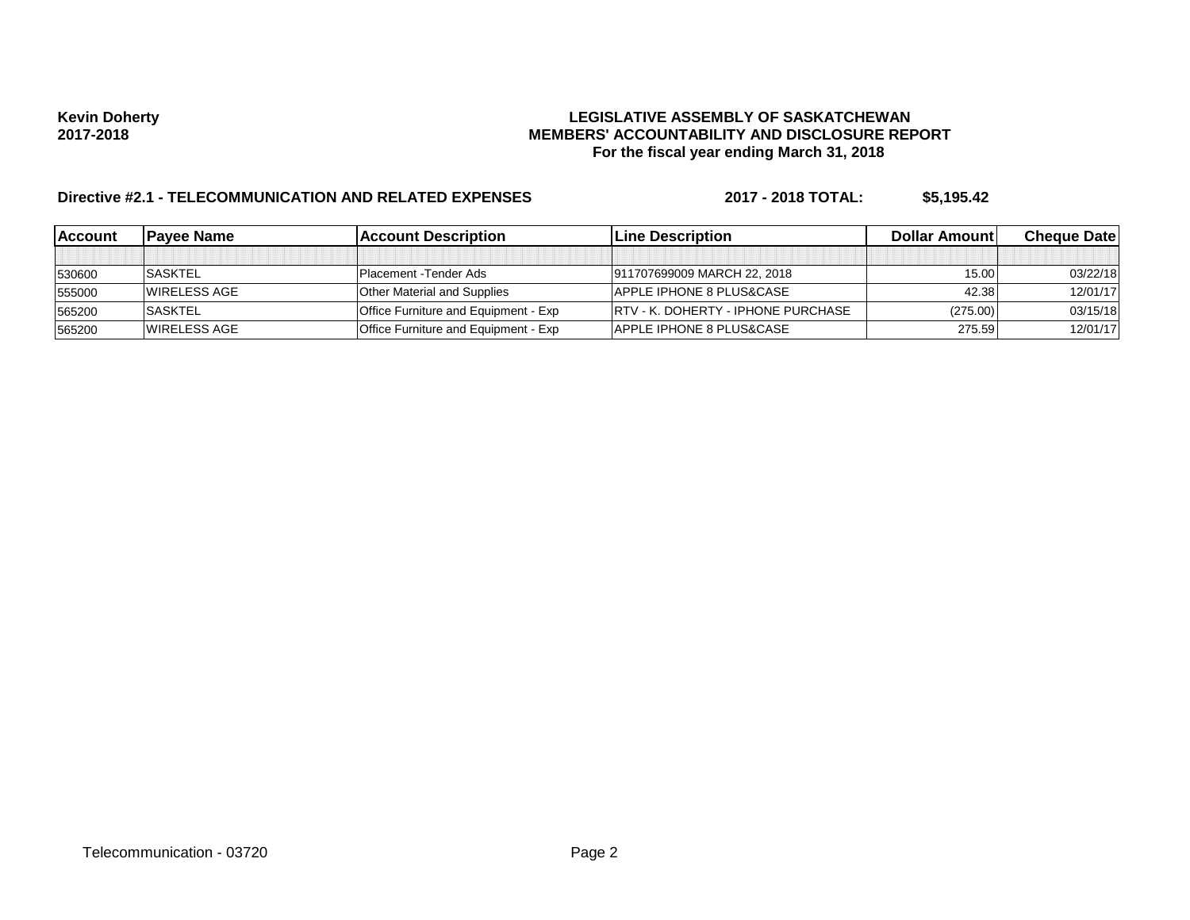## Kevin Doherty<br>LEGISLATIVE ASSEMBLY OF SASKATCHEWAN<br>MEMBERS' ACCOUNTABILITY AND DISCLOSURE REF **2017-2018 MEMBERS' ACCOUNTABILITY AND DISCLOSURE REPORT For the fiscal year ending March 31, 2018**

# **Directive #2.1 - TELECOMMUNICATION AND RELATED EXPENSES 2017 - 2018 TOTAL: \$5,195.42**

| <b>IAccount</b> | <b>IPavee Name</b>   | <b>IAccount Description</b>                 | <b>ILine Description</b>            | Dollar Amountl | <b>Cheque Datel</b> |
|-----------------|----------------------|---------------------------------------------|-------------------------------------|----------------|---------------------|
|                 |                      |                                             |                                     |                |                     |
| 530600          | <b>SASKTEL</b>       | <b>Placement</b> - Tender Ads               | 911707699009 MARCH 22, 2018         | 15.00          | 03/22/18            |
| 555000          | <b>IWIRELESS AGE</b> | <b>Other Material and Supplies</b>          | <b>APPLE IPHONE 8 PLUS&amp;CASE</b> | 42.38          | 12/01/17            |
| 565200          | <b>SASKTEL</b>       | <b>Office Furniture and Equipment - Exp</b> | IRTV - K. DOHERTY - IPHONE PURCHASE | (275.00)       | 03/15/18            |
| 565200          | <b>IWIRELESS AGE</b> | <b>Office Furniture and Equipment - Exp</b> | <b>APPLE IPHONE 8 PLUS&amp;CASE</b> | 275.59         | 12/01/17            |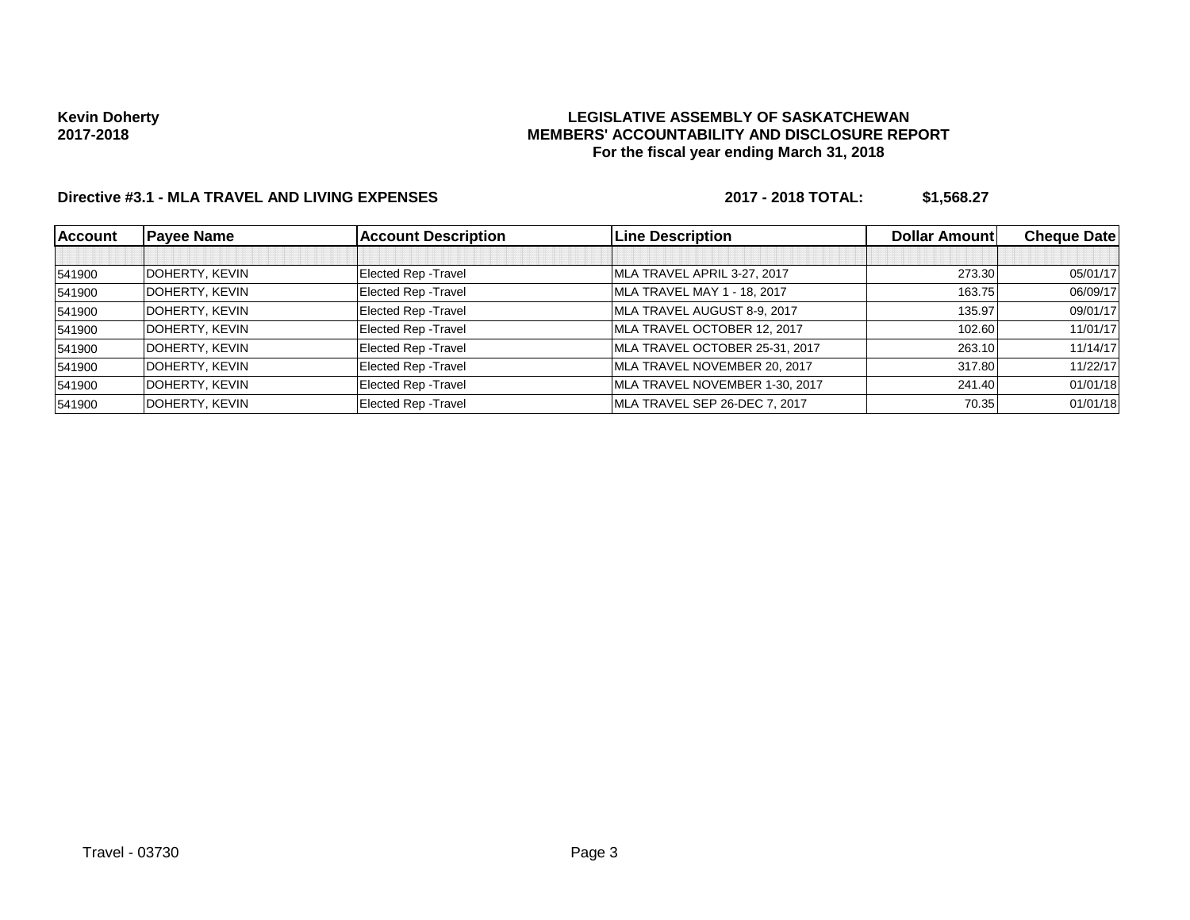### **LEGISLATIVE ASSEMBLY OF SASKATCHEWAN MEMBERS' ACCOUNTABILITY AND DISCLOSURE REPORT For the fiscal year ending March 31, 2018**

## **Directive #3.1 - MLA TRAVEL AND LIVING EXPENSES 2017 - 2018 TOTAL: \$1,568.27**

| <b>Account</b> | <b>Payee Name</b> | <b>Account Description</b>  | <b>Line Description</b>        | <b>Dollar Amountl</b> | <b>Cheque Datel</b> |
|----------------|-------------------|-----------------------------|--------------------------------|-----------------------|---------------------|
|                |                   |                             |                                |                       |                     |
| 541900         | DOHERTY, KEVIN    | <b>Elected Rep - Travel</b> | MLA TRAVEL APRIL 3-27, 2017    | 273.30                | 05/01/17            |
| 541900         | DOHERTY, KEVIN    | <b>Elected Rep - Travel</b> | MLA TRAVEL MAY 1 - 18, 2017    | 163.75                | 06/09/17            |
| 541900         | DOHERTY, KEVIN    | <b>Elected Rep - Travel</b> | MLA TRAVEL AUGUST 8-9, 2017    | 135.97                | 09/01/17            |
| 541900         | DOHERTY, KEVIN    | <b>Elected Rep - Travel</b> | MLA TRAVEL OCTOBER 12, 2017    | 102.60                | 11/01/17            |
| 541900         | DOHERTY, KEVIN    | <b>Elected Rep - Travel</b> | MLA TRAVEL OCTOBER 25-31, 2017 | 263.10                | 11/14/17            |
| 541900         | DOHERTY, KEVIN    | <b>Elected Rep - Travel</b> | MLA TRAVEL NOVEMBER 20, 2017   | 317.80                | 11/22/17            |
| 541900         | DOHERTY, KEVIN    | <b>Elected Rep - Travel</b> | MLA TRAVEL NOVEMBER 1-30, 2017 | 241.40                | 01/01/18            |
| 541900         | DOHERTY, KEVIN    | <b>Elected Rep - Travel</b> | MLA TRAVEL SEP 26-DEC 7, 2017  | 70.35                 | 01/01/18            |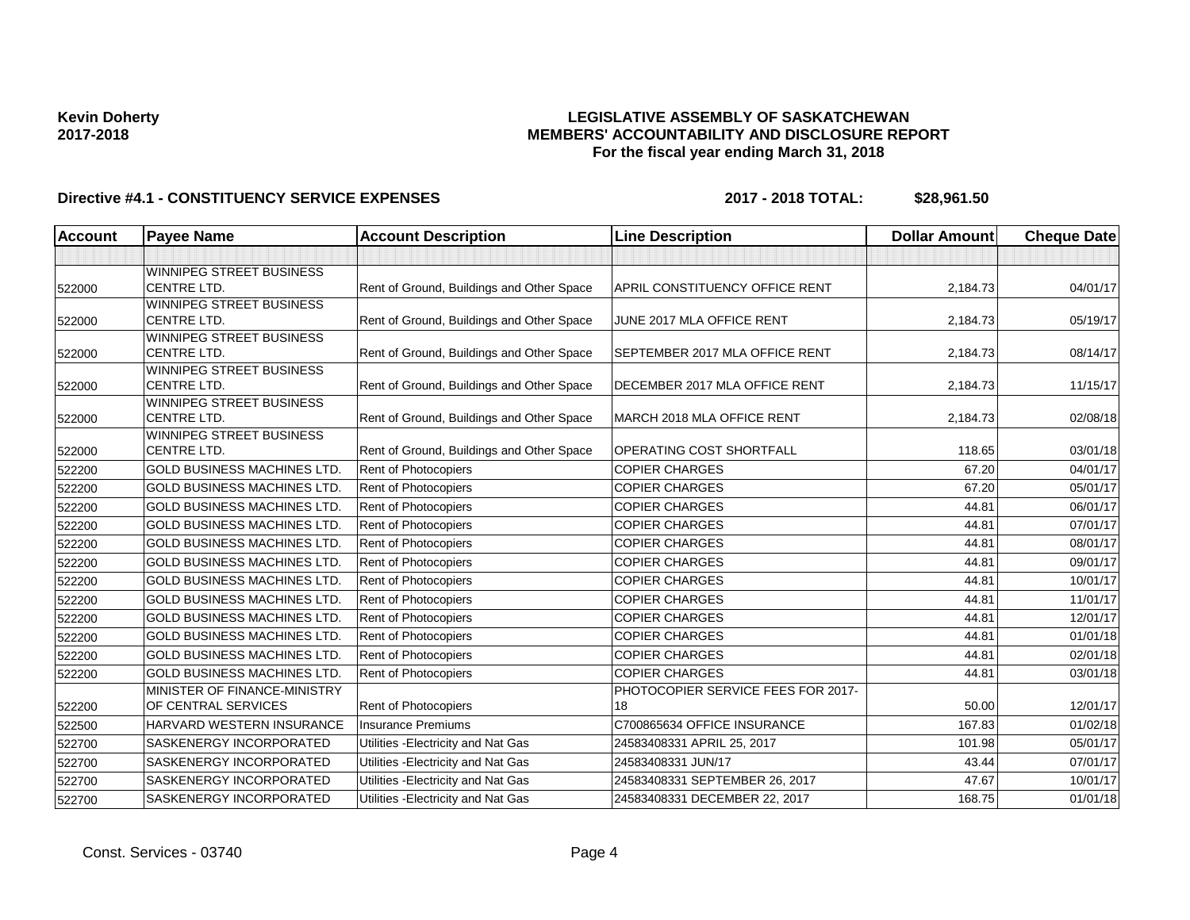### **LEGISLATIVE ASSEMBLY OF SASKATCHEWAN MEMBERS' ACCOUNTABILITY AND DISCLOSURE REPORT For the fiscal year ending March 31, 2018**

| <b>Account</b> | <b>Payee Name</b>                                     | <b>Account Description</b>                | <b>Line Description</b>            | <b>Dollar Amount</b> | <b>Cheque Date</b> |
|----------------|-------------------------------------------------------|-------------------------------------------|------------------------------------|----------------------|--------------------|
|                |                                                       |                                           |                                    |                      |                    |
| 522000         | WINNIPEG STREET BUSINESS<br><b>CENTRE LTD.</b>        | Rent of Ground, Buildings and Other Space | APRIL CONSTITUENCY OFFICE RENT     | 2,184.73             | 04/01/17           |
|                | <b>WINNIPEG STREET BUSINESS</b>                       |                                           |                                    |                      |                    |
| 522000         | <b>CENTRE LTD.</b>                                    | Rent of Ground, Buildings and Other Space | JUNE 2017 MLA OFFICE RENT          | 2,184.73             | 05/19/17           |
|                | <b>WINNIPEG STREET BUSINESS</b>                       |                                           |                                    |                      |                    |
| 522000         | <b>CENTRE LTD.</b>                                    | Rent of Ground, Buildings and Other Space | SEPTEMBER 2017 MLA OFFICE RENT     | 2,184.73             | 08/14/17           |
| 522000         | WINNIPEG STREET BUSINESS<br><b>CENTRE LTD.</b>        | Rent of Ground, Buildings and Other Space | DECEMBER 2017 MLA OFFICE RENT      | 2,184.73             | 11/15/17           |
|                | WINNIPEG STREET BUSINESS                              |                                           |                                    |                      |                    |
| 522000         | <b>CENTRE LTD.</b>                                    | Rent of Ground, Buildings and Other Space | MARCH 2018 MLA OFFICE RENT         | 2,184.73             | 02/08/18           |
| 522000         | <b>WINNIPEG STREET BUSINESS</b><br><b>CENTRE LTD.</b> | Rent of Ground, Buildings and Other Space | <b>OPERATING COST SHORTFALL</b>    | 118.65               | 03/01/18           |
| 522200         | <b>GOLD BUSINESS MACHINES LTD.</b>                    | <b>Rent of Photocopiers</b>               | <b>COPIER CHARGES</b>              | 67.20                | 04/01/17           |
| 522200         | <b>GOLD BUSINESS MACHINES LTD.</b>                    | Rent of Photocopiers                      | <b>COPIER CHARGES</b>              | 67.20                | 05/01/17           |
| 522200         | <b>GOLD BUSINESS MACHINES LTD.</b>                    | Rent of Photocopiers                      | <b>COPIER CHARGES</b>              | 44.81                | 06/01/17           |
| 522200         | <b>GOLD BUSINESS MACHINES LTD.</b>                    | Rent of Photocopiers                      | <b>COPIER CHARGES</b>              | 44.81                | 07/01/17           |
| 522200         | <b>GOLD BUSINESS MACHINES LTD.</b>                    | Rent of Photocopiers                      | <b>COPIER CHARGES</b>              | 44.81                | 08/01/17           |
| 522200         | <b>GOLD BUSINESS MACHINES LTD</b>                     | Rent of Photocopiers                      | <b>COPIER CHARGES</b>              | 44.81                | 09/01/17           |
| 522200         | <b>GOLD BUSINESS MACHINES LTD.</b>                    | Rent of Photocopiers                      | <b>COPIER CHARGES</b>              | 44.81                | 10/01/17           |
| 522200         | <b>GOLD BUSINESS MACHINES LTD.</b>                    | <b>Rent of Photocopiers</b>               | <b>COPIER CHARGES</b>              | 44.81                | 11/01/17           |
| 522200         | <b>GOLD BUSINESS MACHINES LTD.</b>                    | <b>Rent of Photocopiers</b>               | <b>COPIER CHARGES</b>              | 44.81                | 12/01/17           |
| 522200         | <b>GOLD BUSINESS MACHINES LTD.</b>                    | <b>Rent of Photocopiers</b>               | <b>COPIER CHARGES</b>              | 44.81                | 01/01/18           |
| 522200         | <b>GOLD BUSINESS MACHINES LTD</b>                     | Rent of Photocopiers                      | <b>COPIER CHARGES</b>              | 44.81                | 02/01/18           |
| 522200         | <b>GOLD BUSINESS MACHINES LTD.</b>                    | Rent of Photocopiers                      | <b>COPIER CHARGES</b>              | 44.81                | 03/01/18           |
|                | MINISTER OF FINANCE-MINISTRY                          |                                           | PHOTOCOPIER SERVICE FEES FOR 2017- |                      |                    |
| 522200         | OF CENTRAL SERVICES                                   | <b>Rent of Photocopiers</b>               | 18                                 | 50.00                | 12/01/17           |
| 522500         | HARVARD WESTERN INSURANCE                             | <b>Insurance Premiums</b>                 | C700865634 OFFICE INSURANCE        | 167.83               | 01/02/18           |
| 522700         | SASKENERGY INCORPORATED                               | Utilities - Electricity and Nat Gas       | 24583408331 APRIL 25, 2017         | 101.98               | 05/01/17           |
| 522700         | SASKENERGY INCORPORATED                               | Utilities - Electricity and Nat Gas       | 24583408331 JUN/17                 | 43.44                | 07/01/17           |
| 522700         | <b>SASKENERGY INCORPORATED</b>                        | Utilities - Electricity and Nat Gas       | 24583408331 SEPTEMBER 26, 2017     | 47.67                | 10/01/17           |
| 522700         | <b>SASKENERGY INCORPORATED</b>                        | Utilities - Electricity and Nat Gas       | 24583408331 DECEMBER 22, 2017      | 168.75               | 01/01/18           |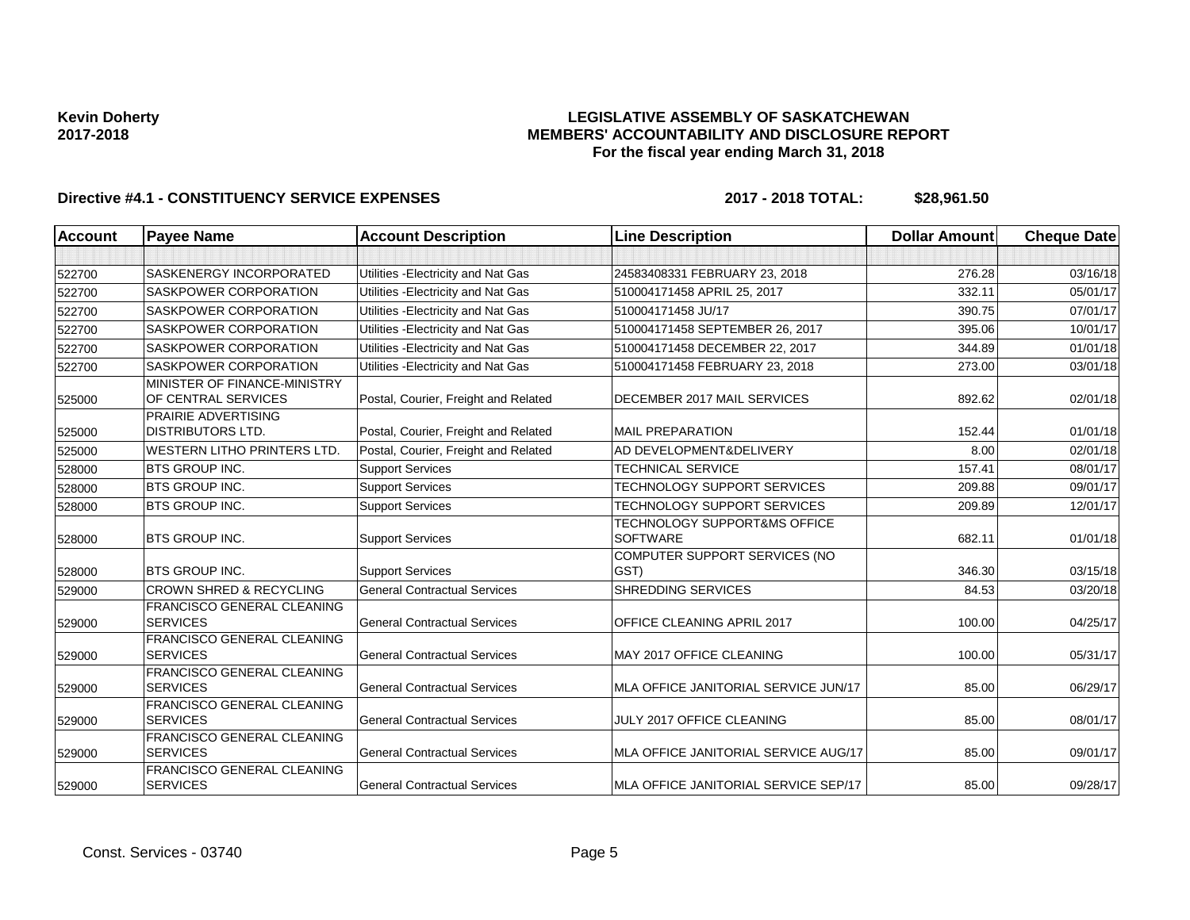### **LEGISLATIVE ASSEMBLY OF SASKATCHEWAN MEMBERS' ACCOUNTABILITY AND DISCLOSURE REPORT For the fiscal year ending March 31, 2018**

| <b>Account</b> | <b>Payee Name</b>                                      | <b>Account Description</b>           | <b>Line Description</b>                         | <b>Dollar Amount</b> | <b>Cheque Date</b> |
|----------------|--------------------------------------------------------|--------------------------------------|-------------------------------------------------|----------------------|--------------------|
|                |                                                        |                                      |                                                 |                      |                    |
| 522700         | <b>SASKENERGY INCORPORATED</b>                         | Utilities - Electricity and Nat Gas  | 24583408331 FEBRUARY 23, 2018                   | 276.28               | 03/16/18           |
| 522700         | <b>SASKPOWER CORPORATION</b>                           | Utilities - Electricity and Nat Gas  | 510004171458 APRIL 25, 2017                     | 332.11               | 05/01/17           |
| 522700         | <b>SASKPOWER CORPORATION</b>                           | Utilities - Electricity and Nat Gas  | 510004171458 JU/17                              | 390.75               | 07/01/17           |
| 522700         | SASKPOWER CORPORATION                                  | Utilities - Electricity and Nat Gas  | 510004171458 SEPTEMBER 26, 2017                 | 395.06               | 10/01/17           |
| 522700         | <b>SASKPOWER CORPORATION</b>                           | Utilities - Electricity and Nat Gas  | 510004171458 DECEMBER 22, 2017                  | 344.89               | 01/01/18           |
| 522700         | SASKPOWER CORPORATION                                  | Utilities - Electricity and Nat Gas  | 510004171458 FEBRUARY 23, 2018                  | 273.00               | 03/01/18           |
| 525000         | MINISTER OF FINANCE-MINISTRY<br>OF CENTRAL SERVICES    | Postal, Courier, Freight and Related | DECEMBER 2017 MAIL SERVICES                     | 892.62               | 02/01/18           |
| 525000         | <b>PRAIRIE ADVERTISING</b><br><b>DISTRIBUTORS LTD.</b> | Postal, Courier, Freight and Related | <b>MAIL PREPARATION</b>                         | 152.44               | 01/01/18           |
| 525000         | <b>WESTERN LITHO PRINTERS LTD.</b>                     | Postal, Courier, Freight and Related | AD DEVELOPMENT&DELIVERY                         | 8.00                 | 02/01/18           |
| 528000         | <b>BTS GROUP INC.</b>                                  | <b>Support Services</b>              | <b>TECHNICAL SERVICE</b>                        | 157.41               | 08/01/17           |
| 528000         | <b>BTS GROUP INC.</b>                                  | <b>Support Services</b>              | <b>TECHNOLOGY SUPPORT SERVICES</b>              | 209.88               | 09/01/17           |
| 528000         | <b>BTS GROUP INC.</b>                                  | <b>Support Services</b>              | <b>TECHNOLOGY SUPPORT SERVICES</b>              | 209.89               | 12/01/17           |
| 528000         | <b>BTS GROUP INC.</b>                                  | <b>Support Services</b>              | TECHNOLOGY SUPPORT&MS OFFICE<br><b>SOFTWARE</b> | 682.11               | 01/01/18           |
| 528000         | <b>BTS GROUP INC.</b>                                  | <b>Support Services</b>              | COMPUTER SUPPORT SERVICES (NO<br>GST)           | 346.30               | 03/15/18           |
| 529000         | <b>CROWN SHRED &amp; RECYCLING</b>                     | <b>General Contractual Services</b>  | <b>SHREDDING SERVICES</b>                       | 84.53                | 03/20/18           |
| 529000         | FRANCISCO GENERAL CLEANING<br><b>SERVICES</b>          | <b>General Contractual Services</b>  | OFFICE CLEANING APRIL 2017                      | 100.00               | 04/25/17           |
| 529000         | FRANCISCO GENERAL CLEANING<br><b>SERVICES</b>          | <b>General Contractual Services</b>  | MAY 2017 OFFICE CLEANING                        | 100.00               | 05/31/17           |
| 529000         | FRANCISCO GENERAL CLEANING<br><b>SERVICES</b>          | <b>General Contractual Services</b>  | MLA OFFICE JANITORIAL SERVICE JUN/17            | 85.00                | 06/29/17           |
| 529000         | FRANCISCO GENERAL CLEANING<br><b>SERVICES</b>          | <b>General Contractual Services</b>  | JULY 2017 OFFICE CLEANING                       | 85.00                | 08/01/17           |
| 529000         | FRANCISCO GENERAL CLEANING<br><b>SERVICES</b>          | <b>General Contractual Services</b>  | MLA OFFICE JANITORIAL SERVICE AUG/17            | 85.00                | 09/01/17           |
| 529000         | FRANCISCO GENERAL CLEANING<br><b>SERVICES</b>          | <b>General Contractual Services</b>  | MLA OFFICE JANITORIAL SERVICE SEP/17            | 85.00                | 09/28/17           |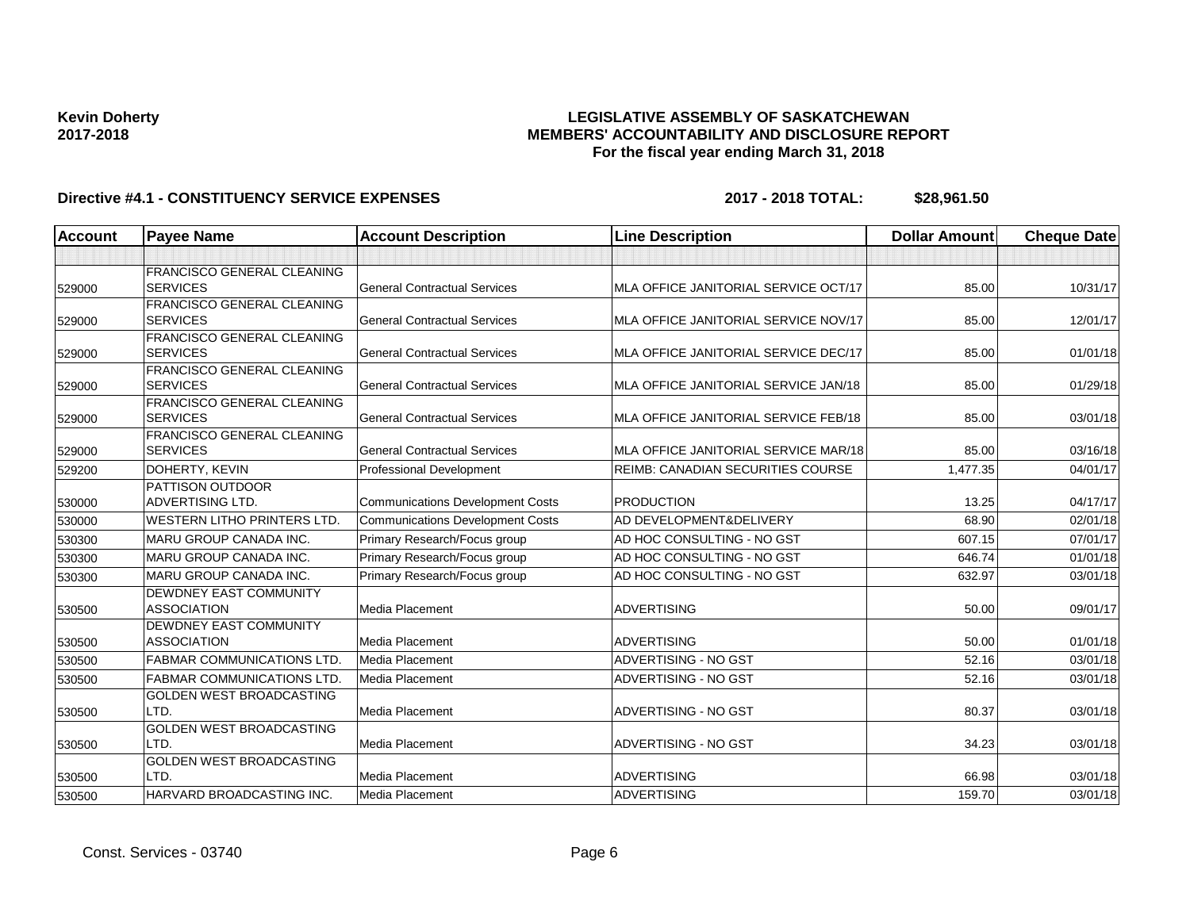### **LEGISLATIVE ASSEMBLY OF SASKATCHEWAN MEMBERS' ACCOUNTABILITY AND DISCLOSURE REPORT For the fiscal year ending March 31, 2018**

| <b>Account</b> | <b>Payee Name</b>                                    | <b>Account Description</b>              | <b>Line Description</b>              | <b>Dollar Amount</b> | <b>Cheque Date</b> |
|----------------|------------------------------------------------------|-----------------------------------------|--------------------------------------|----------------------|--------------------|
|                |                                                      |                                         |                                      |                      |                    |
|                | <b>FRANCISCO GENERAL CLEANING</b>                    |                                         |                                      |                      |                    |
| 529000         | <b>SERVICES</b>                                      | <b>General Contractual Services</b>     | MLA OFFICE JANITORIAL SERVICE OCT/17 | 85.00                | 10/31/17           |
|                | <b>FRANCISCO GENERAL CLEANING</b>                    |                                         |                                      |                      |                    |
| 529000         | <b>SERVICES</b>                                      | <b>General Contractual Services</b>     | MLA OFFICE JANITORIAL SERVICE NOV/17 | 85.00                | 12/01/17           |
|                | <b>FRANCISCO GENERAL CLEANING</b>                    |                                         |                                      |                      |                    |
| 529000         | <b>SERVICES</b>                                      | <b>General Contractual Services</b>     | MLA OFFICE JANITORIAL SERVICE DEC/17 | 85.00                | 01/01/18           |
|                | <b>FRANCISCO GENERAL CLEANING</b>                    |                                         |                                      |                      |                    |
| 529000         | <b>SERVICES</b><br><b>FRANCISCO GENERAL CLEANING</b> | <b>General Contractual Services</b>     | MLA OFFICE JANITORIAL SERVICE JAN/18 | 85.00                | 01/29/18           |
| 529000         | <b>SERVICES</b>                                      | <b>General Contractual Services</b>     | MLA OFFICE JANITORIAL SERVICE FEB/18 | 85.00                | 03/01/18           |
|                | <b>FRANCISCO GENERAL CLEANING</b>                    |                                         |                                      |                      |                    |
| 529000         | <b>SERVICES</b>                                      | <b>General Contractual Services</b>     | MLA OFFICE JANITORIAL SERVICE MAR/18 | 85.00                | 03/16/18           |
| 529200         | DOHERTY, KEVIN                                       | <b>Professional Development</b>         | REIMB: CANADIAN SECURITIES COURSE    | 1,477.35             | 04/01/17           |
|                | <b>PATTISON OUTDOOR</b>                              |                                         |                                      |                      |                    |
| 530000         | <b>ADVERTISING LTD.</b>                              | <b>Communications Development Costs</b> | <b>PRODUCTION</b>                    | 13.25                | 04/17/17           |
| 530000         | <b>WESTERN LITHO PRINTERS LTD.</b>                   | <b>Communications Development Costs</b> | AD DEVELOPMENT&DELIVERY              | 68.90                | 02/01/18           |
| 530300         | MARU GROUP CANADA INC.                               | Primary Research/Focus group            | AD HOC CONSULTING - NO GST           | 607.15               | 07/01/17           |
| 530300         | <b>MARU GROUP CANADA INC.</b>                        | Primary Research/Focus group            | AD HOC CONSULTING - NO GST           | 646.74               | 01/01/18           |
| 530300         | <b>MARU GROUP CANADA INC.</b>                        | Primary Research/Focus group            | AD HOC CONSULTING - NO GST           | 632.97               | 03/01/18           |
|                | <b>DEWDNEY EAST COMMUNITY</b>                        |                                         |                                      |                      |                    |
| 530500         | <b>ASSOCIATION</b>                                   | Media Placement                         | <b>ADVERTISING</b>                   | 50.00                | 09/01/17           |
|                | <b>DEWDNEY EAST COMMUNITY</b>                        |                                         |                                      |                      |                    |
| 530500         | <b>ASSOCIATION</b>                                   | Media Placement                         | <b>ADVERTISING</b>                   | 50.00                | 01/01/18           |
| 530500         | <b>FABMAR COMMUNICATIONS LTD</b>                     | Media Placement                         | ADVERTISING - NO GST                 | 52.16                | 03/01/18           |
| 530500         | <b>FABMAR COMMUNICATIONS LTD</b>                     | Media Placement                         | ADVERTISING - NO GST                 | 52.16                | 03/01/18           |
|                | <b>GOLDEN WEST BROADCASTING</b>                      |                                         |                                      |                      |                    |
| 530500         | LTD.                                                 | Media Placement                         | ADVERTISING - NO GST                 | 80.37                | 03/01/18           |
|                | <b>GOLDEN WEST BROADCASTING</b>                      |                                         |                                      |                      |                    |
| 530500         | LTD.                                                 | Media Placement                         | ADVERTISING - NO GST                 | 34.23                | 03/01/18           |
|                | <b>GOLDEN WEST BROADCASTING</b>                      |                                         |                                      |                      |                    |
| 530500         | LTD.                                                 | Media Placement                         | <b>ADVERTISING</b>                   | 66.98                | 03/01/18           |
| 530500         | HARVARD BROADCASTING INC.                            | Media Placement                         | <b>ADVERTISING</b>                   | 159.70               | 03/01/18           |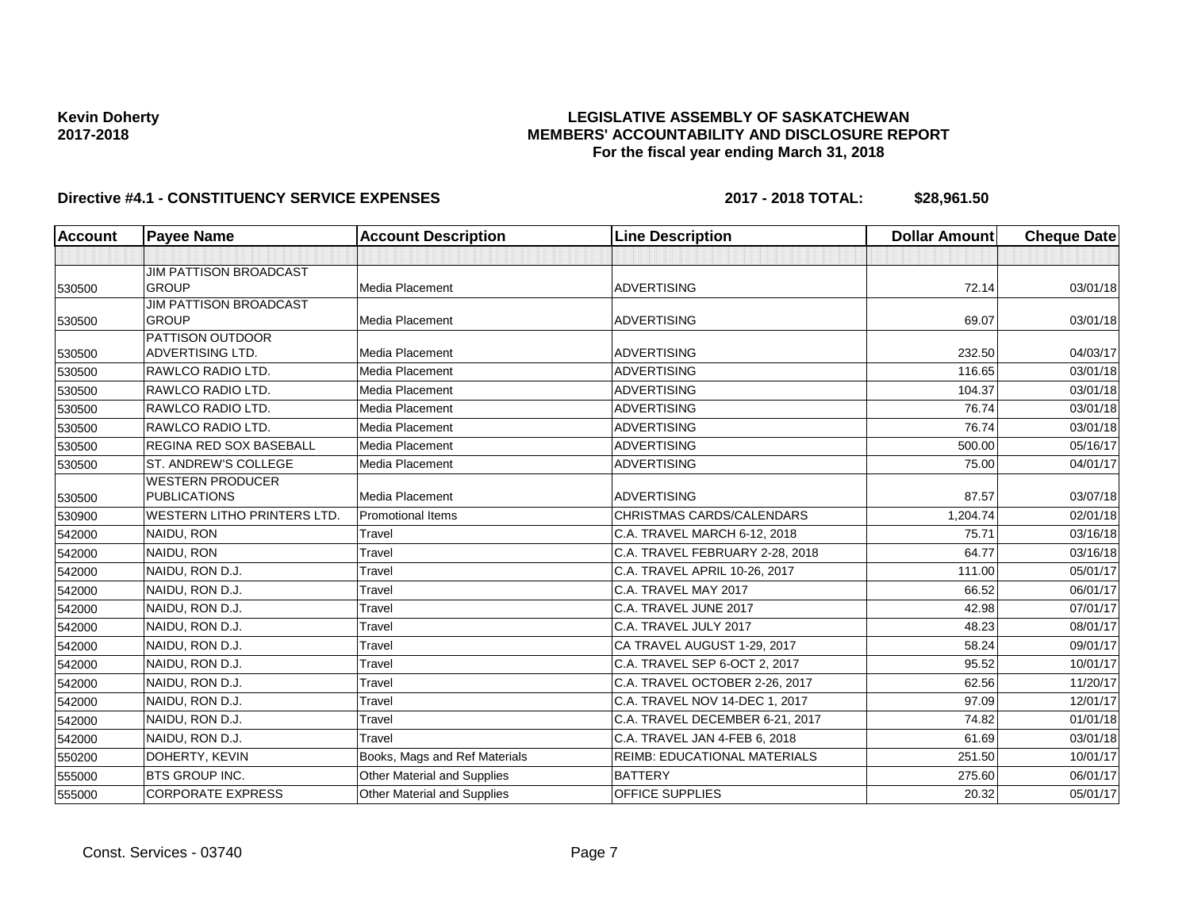### **LEGISLATIVE ASSEMBLY OF SASKATCHEWAN MEMBERS' ACCOUNTABILITY AND DISCLOSURE REPORT For the fiscal year ending March 31, 2018**

| <b>Account</b> | <b>Payee Name</b>                    | <b>Account Description</b>    | <b>Line Description</b>             | <b>Dollar Amount</b> | <b>Cheque Date</b> |
|----------------|--------------------------------------|-------------------------------|-------------------------------------|----------------------|--------------------|
|                |                                      |                               |                                     |                      |                    |
|                | <b>JIM PATTISON BROADCAST</b>        |                               |                                     |                      |                    |
| 530500         | <b>GROUP</b>                         | Media Placement               | <b>ADVERTISING</b>                  | 72.14                | 03/01/18           |
|                | JIM PATTISON BROADCAST               |                               |                                     |                      |                    |
| 530500         | <b>GROUP</b>                         | Media Placement               | <b>ADVERTISING</b>                  | 69.07                | 03/01/18           |
| 530500         | PATTISON OUTDOOR<br>ADVERTISING LTD. | <b>Media Placement</b>        | <b>ADVERTISING</b>                  | 232.50               | 04/03/17           |
| 530500         | RAWLCO RADIO LTD.                    | Media Placement               | <b>ADVERTISING</b>                  | 116.65               | 03/01/18           |
| 530500         | RAWLCO RADIO LTD.                    | Media Placement               | <b>ADVERTISING</b>                  | 104.37               | 03/01/18           |
| 530500         | RAWLCO RADIO LTD.                    | Media Placement               | <b>ADVERTISING</b>                  | 76.74                | 03/01/18           |
| 530500         | <b>RAWLCO RADIO LTD.</b>             | Media Placement               | <b>ADVERTISING</b>                  | 76.74                | 03/01/18           |
| 530500         | <b>REGINA RED SOX BASEBALL</b>       | Media Placement               | <b>ADVERTISING</b>                  | 500.00               | 05/16/17           |
| 530500         | ST. ANDREW'S COLLEGE                 | Media Placement               | <b>ADVERTISING</b>                  | 75.00                | 04/01/17           |
|                | <b>WESTERN PRODUCER</b>              |                               |                                     |                      |                    |
| 530500         | <b>PUBLICATIONS</b>                  | Media Placement               | <b>ADVERTISING</b>                  | 87.57                | 03/07/18           |
| 530900         | <b>WESTERN LITHO PRINTERS LTD.</b>   | <b>Promotional Items</b>      | CHRISTMAS CARDS/CALENDARS           | 1,204.74             | 02/01/18           |
| 542000         | NAIDU, RON                           | Travel                        | C.A. TRAVEL MARCH 6-12, 2018        | 75.71                | 03/16/18           |
| 542000         | NAIDU, RON                           | Travel                        | C.A. TRAVEL FEBRUARY 2-28, 2018     | 64.77                | 03/16/18           |
| 542000         | NAIDU, RON D.J.                      | Travel                        | C.A. TRAVEL APRIL 10-26, 2017       | 111.00               | 05/01/17           |
| 542000         | NAIDU, RON D.J.                      | Travel                        | C.A. TRAVEL MAY 2017                | 66.52                | 06/01/17           |
| 542000         | NAIDU, RON D.J.                      | Travel                        | C.A. TRAVEL JUNE 2017               | 42.98                | 07/01/17           |
| 542000         | NAIDU, RON D.J.                      | Travel                        | C.A. TRAVEL JULY 2017               | 48.23                | 08/01/17           |
| 542000         | NAIDU, RON D.J.                      | Travel                        | CA TRAVEL AUGUST 1-29, 2017         | 58.24                | 09/01/17           |
| 542000         | NAIDU, RON D.J.                      | Travel                        | C.A. TRAVEL SEP 6-OCT 2, 2017       | 95.52                | 10/01/17           |
| 542000         | NAIDU, RON D.J.                      | Travel                        | C.A. TRAVEL OCTOBER 2-26, 2017      | 62.56                | 11/20/17           |
| 542000         | NAIDU, RON D.J.                      | Travel                        | C.A. TRAVEL NOV 14-DEC 1, 2017      | 97.09                | 12/01/17           |
| 542000         | NAIDU, RON D.J.                      | Travel                        | C.A. TRAVEL DECEMBER 6-21, 2017     | 74.82                | 01/01/18           |
| 542000         | NAIDU, RON D.J.                      | Travel                        | C.A. TRAVEL JAN 4-FEB 6, 2018       | 61.69                | 03/01/18           |
| 550200         | DOHERTY, KEVIN                       | Books, Mags and Ref Materials | <b>REIMB: EDUCATIONAL MATERIALS</b> | 251.50               | 10/01/17           |
| 555000         | <b>BTS GROUP INC.</b>                | Other Material and Supplies   | <b>BATTERY</b>                      | 275.60               | 06/01/17           |
| 555000         | <b>CORPORATE EXPRESS</b>             | Other Material and Supplies   | <b>OFFICE SUPPLIES</b>              | 20.32                | 05/01/17           |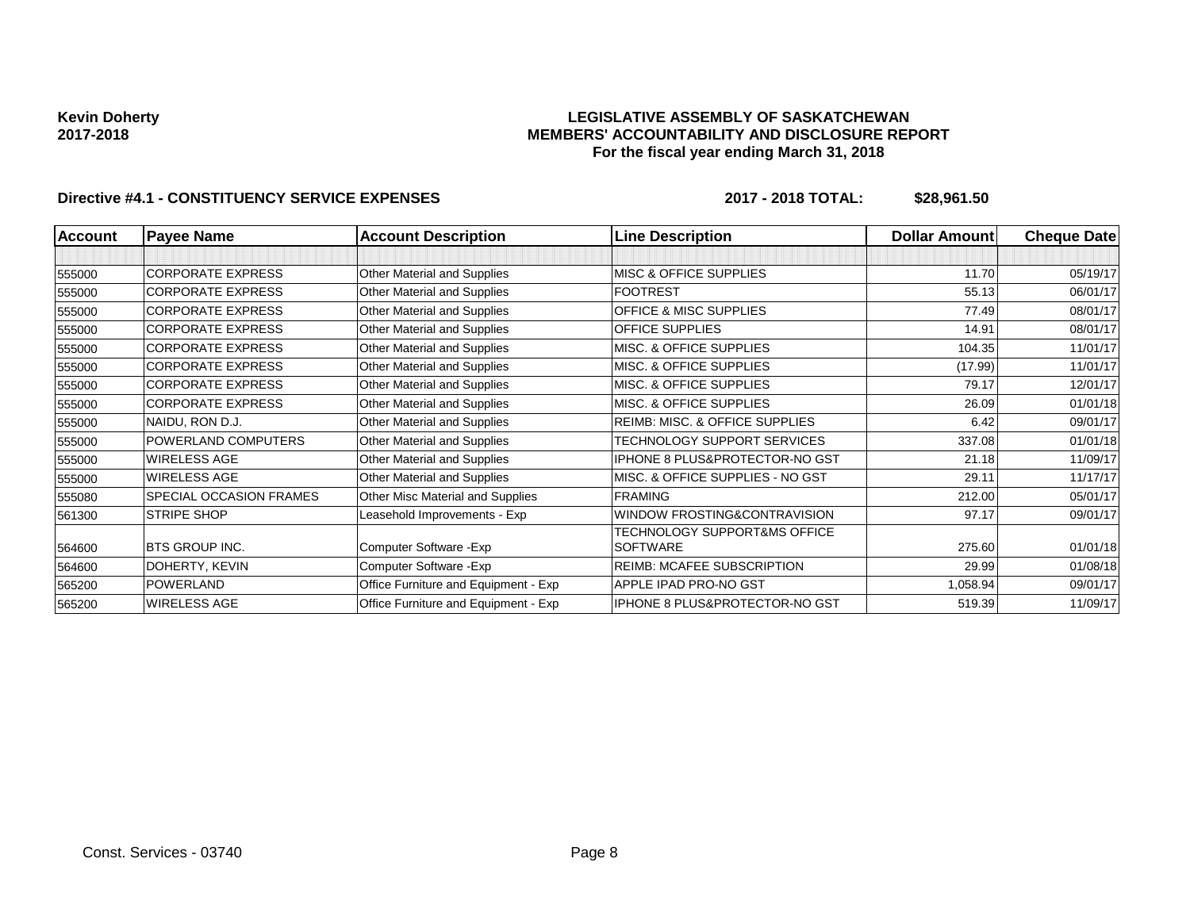### **LEGISLATIVE ASSEMBLY OF SASKATCHEWAN MEMBERS' ACCOUNTABILITY AND DISCLOSURE REPORT For the fiscal year ending March 31, 2018**

| <b>Account</b> | <b>Payee Name</b>        | <b>Account Description</b>           | <b>Line Description</b>                   | <b>Dollar Amount</b> | <b>Cheque Date</b> |
|----------------|--------------------------|--------------------------------------|-------------------------------------------|----------------------|--------------------|
|                |                          |                                      |                                           |                      |                    |
| 555000         | <b>CORPORATE EXPRESS</b> | Other Material and Supplies          | <b>MISC &amp; OFFICE SUPPLIES</b>         | 11.70                | 05/19/17           |
| 555000         | <b>CORPORATE EXPRESS</b> | Other Material and Supplies          | <b>FOOTREST</b>                           | 55.13                | 06/01/17           |
| 555000         | <b>CORPORATE EXPRESS</b> | Other Material and Supplies          | OFFICE & MISC SUPPLIES                    | 77.49                | 08/01/17           |
| 555000         | <b>CORPORATE EXPRESS</b> | Other Material and Supplies          | <b>OFFICE SUPPLIES</b>                    | 14.91                | 08/01/17           |
| 555000         | <b>CORPORATE EXPRESS</b> | Other Material and Supplies          | MISC. & OFFICE SUPPLIES                   | 104.35               | 11/01/17           |
| 555000         | <b>CORPORATE EXPRESS</b> | Other Material and Supplies          | MISC. & OFFICE SUPPLIES                   | (17.99)              | 11/01/17           |
| 555000         | <b>CORPORATE EXPRESS</b> | Other Material and Supplies          | MISC. & OFFICE SUPPLIES                   | 79.17                | 12/01/17           |
| 555000         | <b>CORPORATE EXPRESS</b> | Other Material and Supplies          | MISC. & OFFICE SUPPLIES                   | 26.09                | 01/01/18           |
| 555000         | NAIDU, RON D.J.          | Other Material and Supplies          | <b>REIMB: MISC. &amp; OFFICE SUPPLIES</b> | 6.42                 | 09/01/17           |
| 555000         | POWERLAND COMPUTERS      | Other Material and Supplies          | TECHNOLOGY SUPPORT SERVICES               | 337.08               | 01/01/18           |
| 555000         | <b>WIRELESS AGE</b>      | Other Material and Supplies          | <b>IPHONE 8 PLUS&amp;PROTECTOR-NO GST</b> | 21.18                | 11/09/17           |
| 555000         | <b>WIRELESS AGE</b>      | Other Material and Supplies          | MISC. & OFFICE SUPPLIES - NO GST          | 29.11                | 11/17/17           |
| 555080         | SPECIAL OCCASION FRAMES  | Other Misc Material and Supplies     | <b>FRAMING</b>                            | 212.00               | 05/01/17           |
| 561300         | <b>STRIPE SHOP</b>       | Leasehold Improvements - Exp         | WINDOW FROSTING&CONTRAVISION              | 97.17                | 09/01/17           |
|                |                          |                                      | TECHNOLOGY SUPPORT&MS OFFICE              |                      |                    |
| 564600         | <b>BTS GROUP INC.</b>    | Computer Software - Exp              | <b>SOFTWARE</b>                           | 275.60               | 01/01/18           |
| 564600         | DOHERTY, KEVIN           | Computer Software - Exp              | <b>REIMB: MCAFEE SUBSCRIPTION</b>         | 29.99                | 01/08/18           |
| 565200         | <b>POWERLAND</b>         | Office Furniture and Equipment - Exp | APPLE IPAD PRO-NO GST                     | 1,058.94             | 09/01/17           |
| 565200         | <b>WIRELESS AGE</b>      | Office Furniture and Equipment - Exp | IPHONE 8 PLUS&PROTECTOR-NO GST            | 519.39               | 11/09/17           |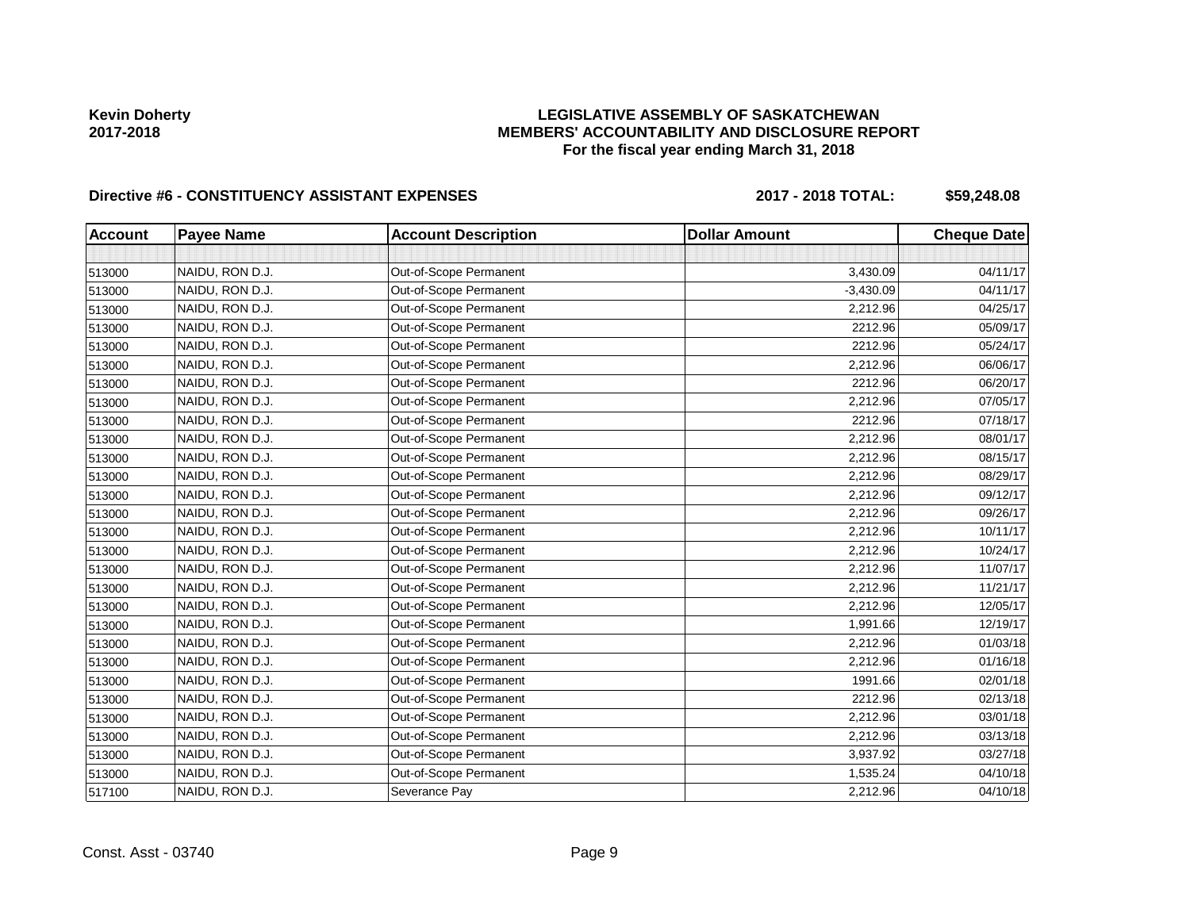### **LEGISLATIVE ASSEMBLY OF SASKATCHEWAN MEMBERS' ACCOUNTABILITY AND DISCLOSURE REPORT For the fiscal year ending March 31, 2018**

## Directive #6 - CONSTITUENCY ASSISTANT EXPENSES 2017 - 2018 TOTAL: \$59,248.08

| <b>Account</b> | <b>Payee Name</b> | <b>Account Description</b> | <b>Dollar Amount</b> | <b>Cheque Date</b> |
|----------------|-------------------|----------------------------|----------------------|--------------------|
|                |                   |                            |                      |                    |
| 513000         | NAIDU, RON D.J.   | Out-of-Scope Permanent     | 3,430.09             | 04/11/17           |
| 513000         | NAIDU, RON D.J.   | Out-of-Scope Permanent     | $-3,430.09$          | 04/11/17           |
| 513000         | NAIDU, RON D.J.   | Out-of-Scope Permanent     | 2,212.96             | 04/25/17           |
| 513000         | NAIDU, RON D.J.   | Out-of-Scope Permanent     | 2212.96              | 05/09/17           |
| 513000         | NAIDU, RON D.J.   | Out-of-Scope Permanent     | 2212.96              | 05/24/17           |
| 513000         | NAIDU, RON D.J.   | Out-of-Scope Permanent     | 2,212.96             | 06/06/17           |
| 513000         | NAIDU, RON D.J.   | Out-of-Scope Permanent     | 2212.96              | 06/20/17           |
| 513000         | NAIDU, RON D.J.   | Out-of-Scope Permanent     | 2,212.96             | 07/05/17           |
| 513000         | NAIDU, RON D.J.   | Out-of-Scope Permanent     | 2212.96              | 07/18/17           |
| 513000         | NAIDU, RON D.J.   | Out-of-Scope Permanent     | 2,212.96             | 08/01/17           |
| 513000         | NAIDU, RON D.J.   | Out-of-Scope Permanent     | 2,212.96             | 08/15/17           |
| 513000         | NAIDU, RON D.J.   | Out-of-Scope Permanent     | 2,212.96             | 08/29/17           |
| 513000         | NAIDU, RON D.J.   | Out-of-Scope Permanent     | 2,212.96             | 09/12/17           |
| 513000         | NAIDU, RON D.J.   | Out-of-Scope Permanent     | 2,212.96             | 09/26/17           |
| 513000         | NAIDU, RON D.J.   | Out-of-Scope Permanent     | 2,212.96             | 10/11/17           |
| 513000         | NAIDU, RON D.J.   | Out-of-Scope Permanent     | 2,212.96             | 10/24/17           |
| 513000         | NAIDU, RON D.J.   | Out-of-Scope Permanent     | 2,212.96             | 11/07/17           |
| 513000         | NAIDU, RON D.J.   | Out-of-Scope Permanent     | 2,212.96             | 11/21/17           |
| 513000         | NAIDU, RON D.J.   | Out-of-Scope Permanent     | 2,212.96             | 12/05/17           |
| 513000         | NAIDU, RON D.J.   | Out-of-Scope Permanent     | 1,991.66             | 12/19/17           |
| 513000         | NAIDU, RON D.J.   | Out-of-Scope Permanent     | 2,212.96             | 01/03/18           |
| 513000         | NAIDU, RON D.J.   | Out-of-Scope Permanent     | 2,212.96             | 01/16/18           |
| 513000         | NAIDU, RON D.J.   | Out-of-Scope Permanent     | 1991.66              | 02/01/18           |
| 513000         | NAIDU, RON D.J.   | Out-of-Scope Permanent     | 2212.96              | 02/13/18           |
| 513000         | NAIDU, RON D.J.   | Out-of-Scope Permanent     | 2,212.96             | 03/01/18           |
| 513000         | NAIDU, RON D.J.   | Out-of-Scope Permanent     | 2,212.96             | 03/13/18           |
| 513000         | NAIDU, RON D.J.   | Out-of-Scope Permanent     | 3,937.92             | 03/27/18           |
| 513000         | NAIDU, RON D.J.   | Out-of-Scope Permanent     | 1,535.24             | 04/10/18           |
| 517100         | NAIDU, RON D.J.   | Severance Pay              | 2,212.96             | 04/10/18           |